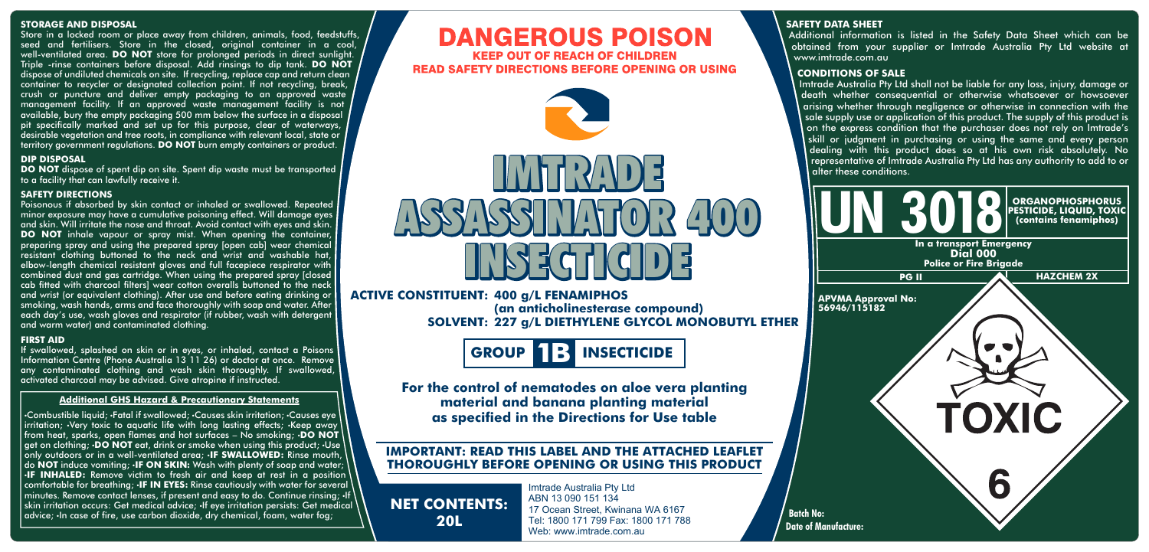#### **STORAGE AND DISPOSAL**

Store in a locked room or place away from children, animals, food, feedstuffs, seed and fertilisers. Store in the closed, original container in a cool, well-ventilated area. **DO NOT** store for prolonged periods in direct sunlight. Triple -rinse containers before disposal. Add rinsings to dip tank. **DO NOT** dispose of undiluted chemicals on site. If recycling, replace cap and return clean container to recycler or designated collection point. If not recycling, break, crush or puncture and deliver empty packaging to an approved waste management facility. If an approved waste management facility is not available, bury the empty packaging 500 mm below the surface in a disposal pit specifically marked and set up for this purpose, clear of waterways, desirable vegetation and tree roots, in compliance with relevant local, state or territory government regulations. **DO NOT** burn empty containers or product.

#### **DIP DISPOSAL**

**DO NOT** dispose of spent dip on site. Spent dip waste must be transported to a facility that can lawfully receive it.

#### **SAFETY DIRECTIONS**

Poisonous if absorbed by skin contact or inhaled or swallowed. Repeated minor exposure may have a cumulative poisoning effect. Will damage eyes and skin. Will irritate the nose and throat. Avoid contact with eyes and skin. **DO NOT** inhale vapour or spray mist. When opening the container, preparing spray and using the prepared spray [open cab] wear chemical resistant clothing buttoned to the neck and wrist and washable hat, elbow-length chemical resistant gloves and full facepiece respirator with combined dust and gas cartridge. When using the prepared spray [closed cab fitted with charcoal filters] wear cotton overalls buttoned to the neck and wrist (or equivalent clothing). After use and before eating drinking or smoking, wash hands, arms and face thoroughly with soap and water. After each day's use, wash aloves and respirator (if rubber, wash with detergent and warm water) and contaminated clothing.

#### **FIRST AID**

If swallowed, splashed on skin or in eyes, or inhaled, contact a Poisons Information Centre (Phone Australia 13 11 26) or doctor at once. Remove any contaminated clothing and wash skin thoroughly. If swallowed, activated charcoal may be advised. Give atropine if instructed.

#### **Additional GHS Hazard & Precautionary Statements**

•Combustible liquid; •Fatal if swallowed; •Causes skin irritation; •Causes eye irritation; •Very toxic to aquatic life with long lasting effects; •Keep away from heat, sparks, open flames and hot surfaces – No smoking; •**DO NOT** get on clothing; •**DO NOT** eat, drink or smoke when using this product; •Use only outdoors or in a well-ventilated area; •**IF SWALLOWED:** Rinse mouth, do **NOT** induce vomiting; •**IF ON SKIN:** Wash with plenty of soap and water; **IF INHALED:** Remove victim to fresh air and keep at rest in a position comfortable for breathing; •**IF IN EYES:** Rinse cautiously with water for several minutes. Remove contact lenses, if present and easy to do. Continue rinsing;  $\cdot$ If skin irritation occurs: Get medical advice; •If eye irritation persists: Get medical advice; •In case of fire, use carbon dioxide, dry chemical, foam, water fog;

# **DANGEROUS POISON KEEP OUT OF REACH OF CHILDREN READ SAFETY DIRECTIONS BEFORE OPENING OR USING**



## **ACTIVE CONSTITUENT: 400 g/L FENAMIPHOS**

**SOLVENT: 227 g/L DIETHYLENE GLYCOL MONOBUTYL ETHER (an anticholinesterase compound)**



**For the control of nematodes on aloe vera planting material and banana planting material as specified in the Directions for Use table**

# **IMPORTANT: READ THIS LABEL AND THE ATTACHED LEAFLET THOROUGHLY BEFORE OPENING OR USING THIS PRODUCT**

**NET CONTENTS: 20L**

Imtrade Australia Pty Ltd ABN 13 090 151 134 17 Ocean Street, Kwinana WA 6167 Tel: 1800 171 799 Fax: 1800 171 788 Web: www.imtrade.com.au

## **SAFETY DATA SHEET**

Additional information is listed in the Safety Data Sheet which can be obtained from your supplier or Imtrade Australia Pty Ltd website at www.imtrade.com.au

#### **CONDITIONS OF SALE**

Imtrade Australia Pty Ltd shall not be liable for any loss, injury, damage or death whether consequential or otherwise whatsoever or howsoever arising whether through negligence or otherwise in connection with the sale supply use or application of this product. The supply of this product is on the express condition that the purchaser does not rely on Imtrade's skill or judgment in purchasing or using the same and every person dealing with this product does so at his own risk absolutely. No representative of Imtrade Australia Pty Ltd has any authority to add to or alter these conditions.

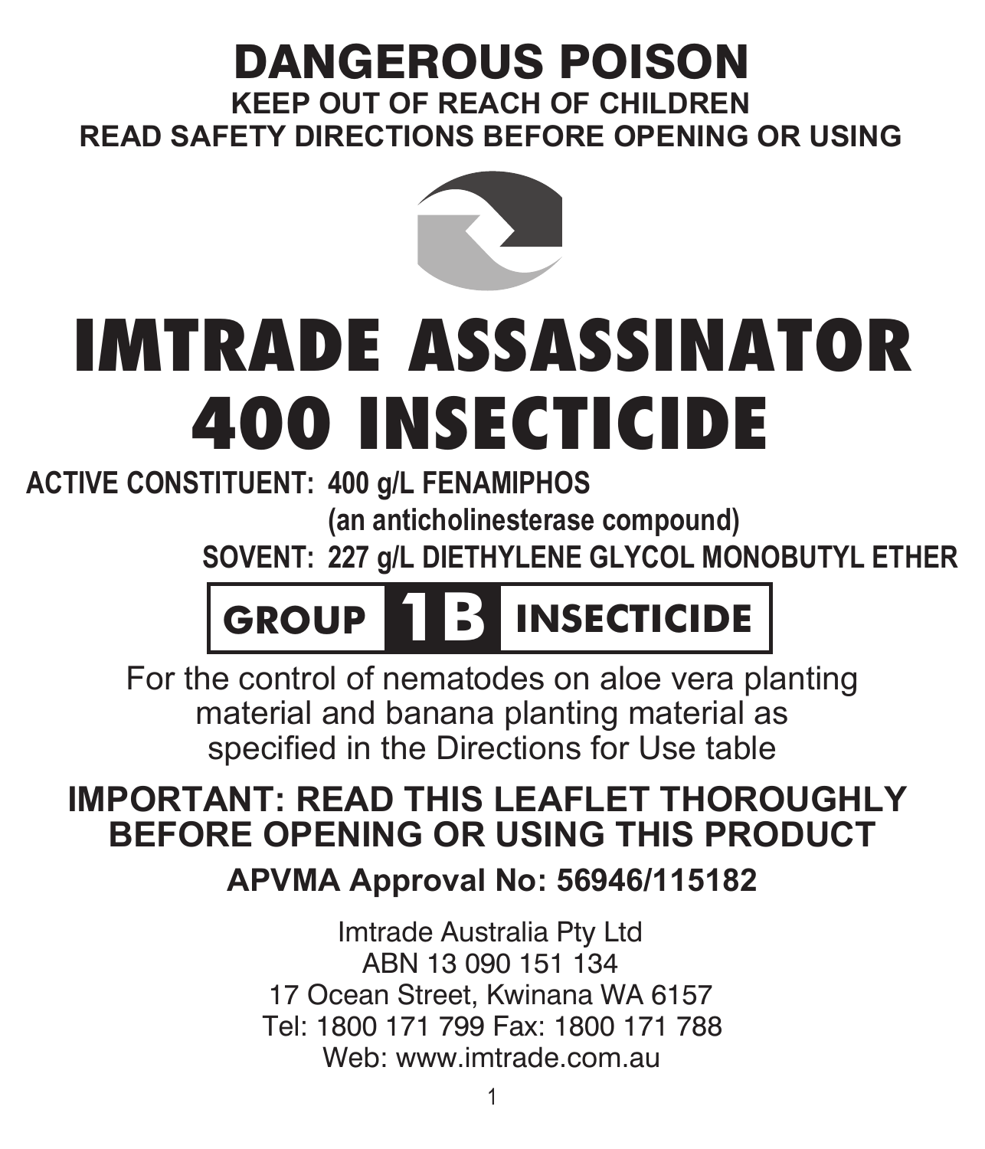# DANGEROUS POISON

**KEEP OUT OF REACH OF CHILDREN READ SAFETY DIRECTIONS BEFORE OPENING OR USING**



# IMTRADE ASSASSINATOR 400 INSECTICIDE

**400 g/L FENAMIPHOS ACTIVE CONSTITUENT: (an anticholinesterase compound)**

**227 g/L DIETHYLENE GLYCOL MONOBUTYL ETHER SOVENT:**



For the control of nematodes on aloe vera planting material and banana planting material as specified in the Directions for Use table

# **IMPORTANT: READ THIS LEAFLET THOROUGHLY BEFORE OPENING OR USING THIS PRODUCT**

**APVMA Approval No: 56946/115182**

Imtrade Australia Pty Ltd ABN 13 090 151 134 17 Ocean Street, Kwinana WA 6157 Tel: 1800 171 799 Fax: 1800 171 788 Web: www.imtrade.com.au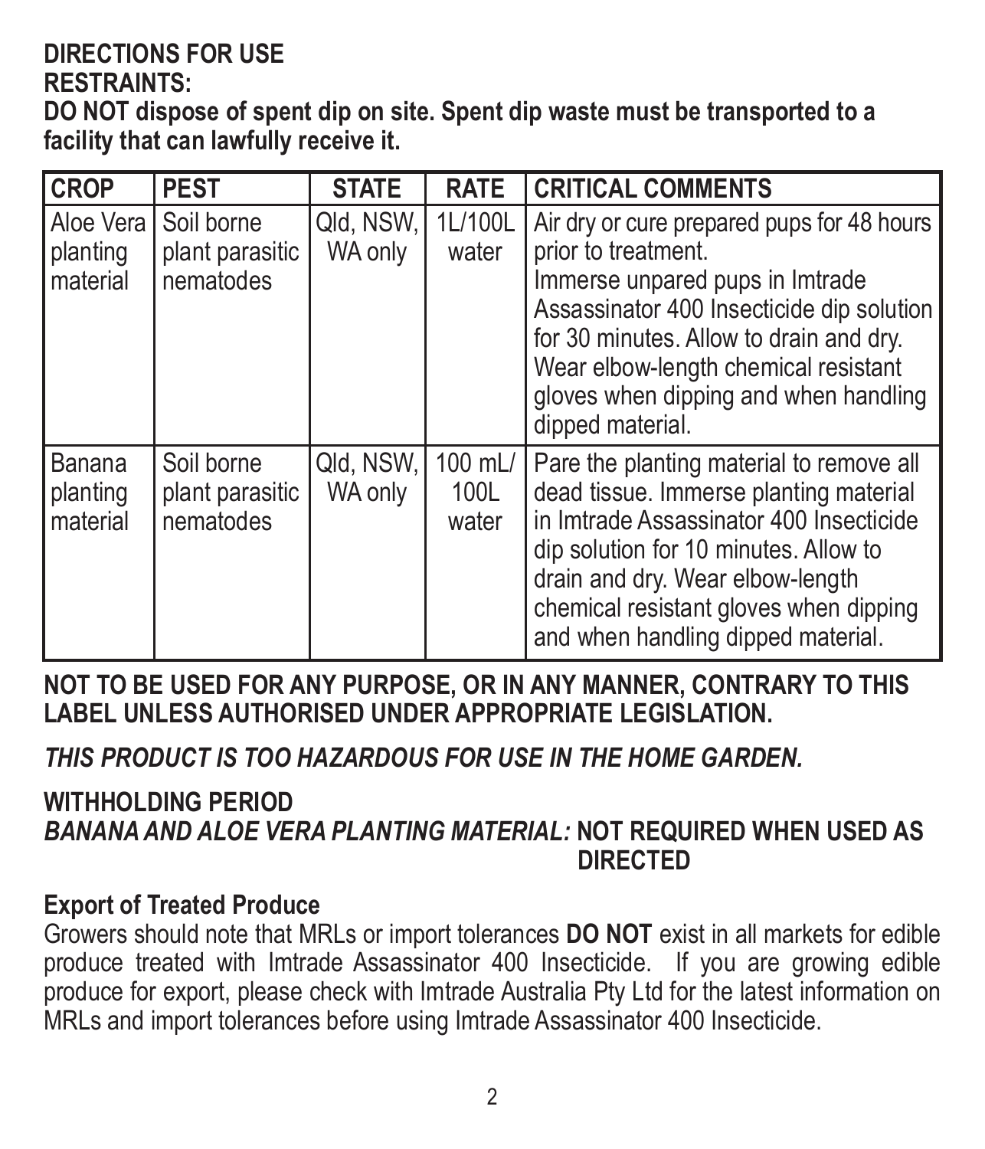## **DIRECTIONS FOR USE**

#### **RESTRAINTS:**

**DO NOT dispose of spent dip on site. Spent dip waste must be transported to a facility that can lawfully receive it.**

| <b>CROP</b>                     | <b>PEST</b>                                              | <b>STATE</b>         | <b>RATE</b>              | <b>CRITICAL COMMENTS</b>                                                                                                                                                                                                                                                                          |
|---------------------------------|----------------------------------------------------------|----------------------|--------------------------|---------------------------------------------------------------------------------------------------------------------------------------------------------------------------------------------------------------------------------------------------------------------------------------------------|
| planting<br>Imaterial           | l Aloe Vera I Soil borne<br>plant parasitic<br>nematodes | Qld, NSW,<br>WA only | 1L/100L<br>water         | Air dry or cure prepared pups for 48 hours<br>prior to treatment.<br>Immerse unpared pups in Imtrade<br>Assassinator 400 Insecticide dip solution<br>for 30 minutes. Allow to drain and dry.<br>Wear elbow-length chemical resistant<br>gloves when dipping and when handling<br>dipped material. |
| Banana<br>planting<br>Imaterial | Soil borne<br>plant parasitic<br>nematodes               | Qld, NSW,<br>WA only | 100 mL/<br>100L<br>water | Pare the planting material to remove all<br>dead tissue. Immerse planting material<br>in Imtrade Assassinator 400 Insecticide<br>dip solution for 10 minutes. Allow to<br>drain and dry. Wear elbow-length<br>chemical resistant gloves when dipping<br>and when handling dipped material.        |

**NOT TO BE USED FOR ANY PURPOSE, OR IN ANY MANNER, CONTRARY TO THIS LABEL UNLESS AUTHORISED UNDER APPROPRIATE LEGISLATION.**

*THIS PRODUCT IS TOO HAZARDOUS FOR USE IN THE HOME GARDEN.*

#### **WITHHOLDING PERIOD** *BANANA AND ALOE VERA PLANTING MATERIAL:* **NOT REQUIRED WHEN USED AS DIRECTED**

#### **Export of Treated Produce**

Growers should note that MRLs or import tolerances **DO NOT** exist in all markets for edible produce treated with Imtrade Assassinator 400 Insecticide. If you are growing edible produce for export, please check with Imtrade Australia Pty Ltd for the latest information on MRLs and import tolerances before using Imtrade Assassinator 400 Insecticide.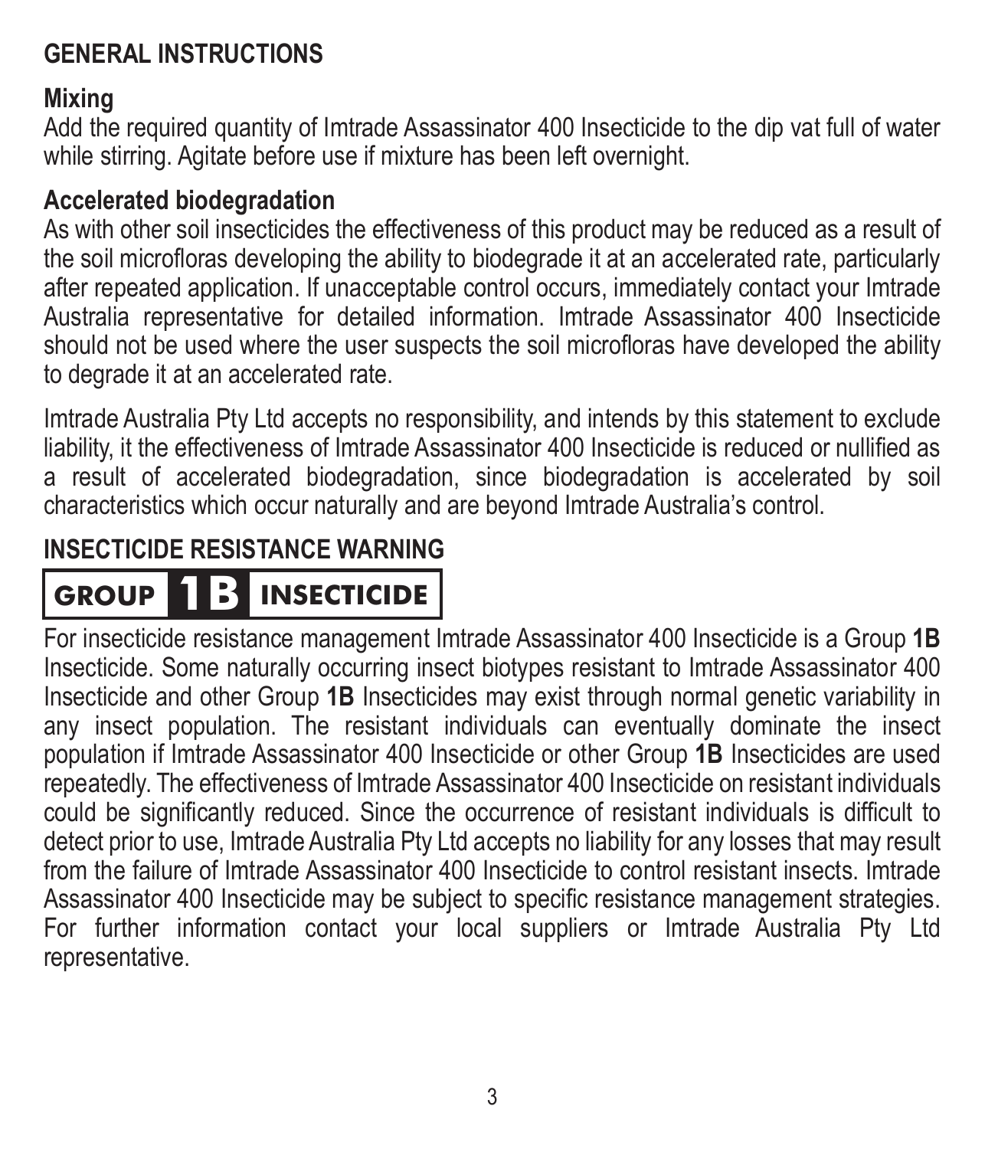#### **GENERAL INSTRUCTIONS**

#### **Mixing**

Add the required quantity of Imtrade Assassinator 400 Insecticide to the dip vat full of water while stirring. Agitate before use if mixture has been left overnight.

#### **Accelerated biodegradation**

As with other soil insecticides the effectiveness of this product may be reduced as a result of the soil microfloras developing the ability to biodegrade it at an accelerated rate, particularly after repeated application. If unacceptable control occurs, immediately contact your Imtrade Australia representative for detailed information. Imtrade Assassinator 400 Insecticide should not be used where the user suspects the soil microfloras have developed the ability to degrade it at an accelerated rate.

Imtrade Australia Pty Ltd accepts no responsibility, and intends by this statement to exclude liability, it the effectiveness of Imtrade Assassinator 400 Insecticide is reduced or nullified as a result of accelerated biodegradation, since biodegradation is accelerated by soil characteristics which occur naturally and are beyond Imtrade Australia's control.

#### **INSECTICIDE RESISTANCE WARNING**

# **GROUP 1B INSECTICIDE**

For insecticide resistance management Imtrade Assassinator 400 Insecticide is a Group **1B** Insecticide. Some naturally occurring insect biotypes resistant to Imtrade Assassinator 400 Insecticide and other Group **1B** Insecticides may exist through normal genetic variability in any insect population. The resistant individuals can eventually dominate the insect population if Imtrade Assassinator 400 Insecticide or other Group **1B** Insecticides are used repeatedly. The effectiveness of Imtrade Assassinator 400 Insecticide on resistant individuals could be significantly reduced. Since the occurrence of resistant individuals is difficult to detect prior to use, Imtrade Australia Pty Ltd accepts no liability for any losses that may result from the failure of Imtrade Assassinator 400 Insecticide to control resistant insects. Imtrade Assassinator 400 Insecticide may be subject to specific resistance management strategies. For further information contact your local suppliers or Imtrade Australia Pty Ltd representative.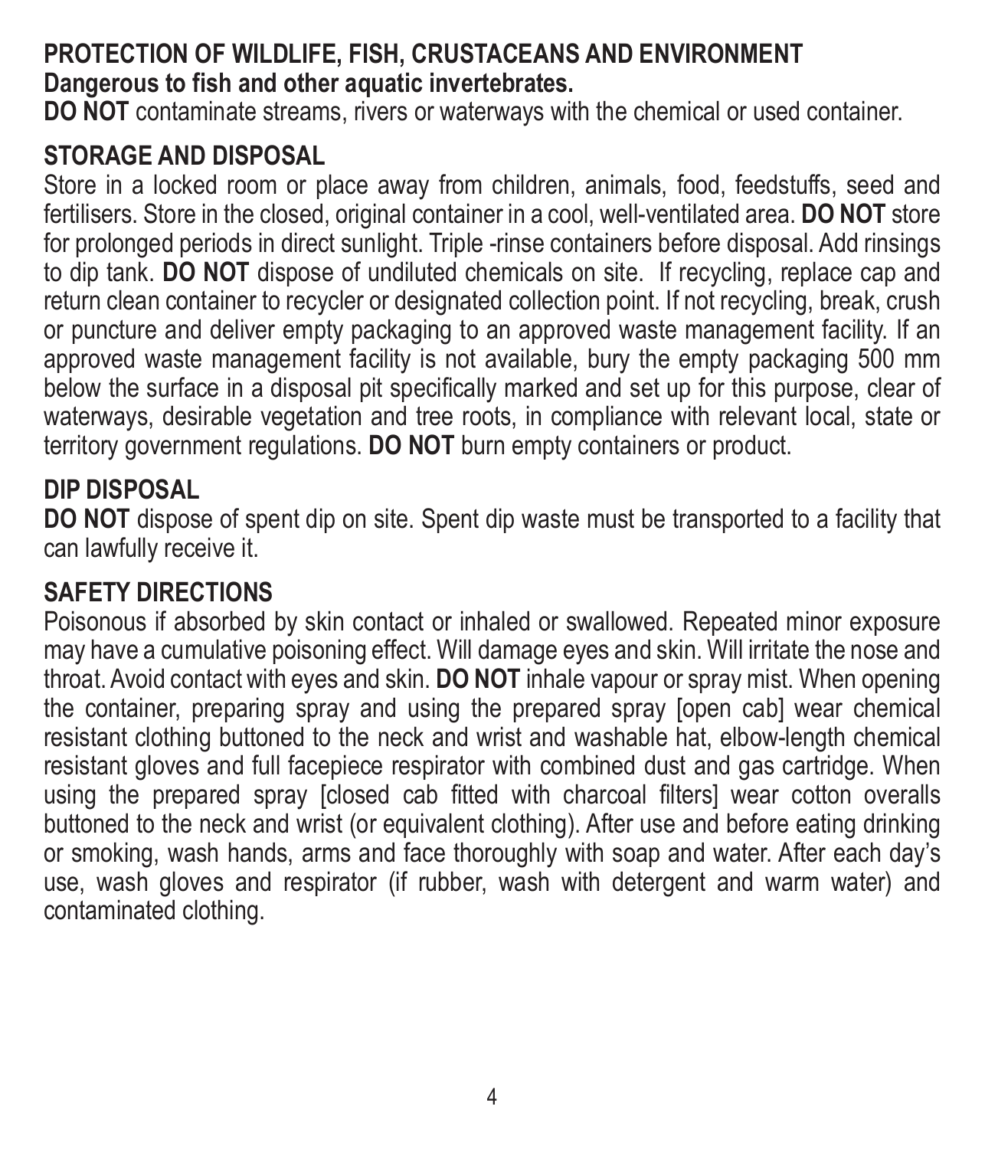#### **PROTECTION OF WILDLIFE, FISH, CRUSTACEANS AND ENVIRONMENT Dangerous to fish and other aquatic invertebrates.**

**DO NOT** contaminate streams, rivers or waterways with the chemical or used container.

#### **STORAGE AND DISPOSAL**

Store in a locked room or place away from children, animals, food, feedstuffs, seed and fertilisers. Store in the closed, original container in a cool, well-ventilated area. **DO NOT** store for prolonged periods in direct sunlight. Triple -rinse containers before disposal. Add rinsings to dip tank. **DO NOT** dispose of undiluted chemicals on site. If recycling, replace cap and return clean container to recycler or designated collection point. If not recycling, break, crush or puncture and deliver empty packaging to an approved waste management facility. If an approved waste management facility is not available, bury the empty packaging 500 mm below the surface in a disposal pit specifically marked and set up for this purpose, clear of waterways, desirable vegetation and tree roots, in compliance with relevant local, state or territory government regulations. **DO NOT** burn empty containers or product.

#### **DIP DISPOSAL**

**DO NOT** dispose of spent dip on site. Spent dip waste must be transported to a facility that can lawfully receive it.

#### **SAFETY DIRECTIONS**

Poisonous if absorbed by skin contact or inhaled or swallowed. Repeated minor exposure may have a cumulative poisoning effect. Will damage eyes and skin. Will irritate the nose and throat. Avoid contact with eyes and skin. **DO NOT** inhale vapour or spray mist. When opening the container, preparing spray and using the prepared spray [open cab] wear chemical resistant clothing buttoned to the neck and wrist and washable hat, elbow-length chemical resistant gloves and full facepiece respirator with combined dust and gas cartridge. When using the prepared spray [closed cab fitted with charcoal filters] wear cotton overalls buttoned to the neck and wrist (or equivalent clothing). After use and before eating drinking or smoking, wash hands, arms and face thoroughly with soap and water. After each day's use, wash gloves and respirator (if rubber, wash with detergent and warm water) and contaminated clothing.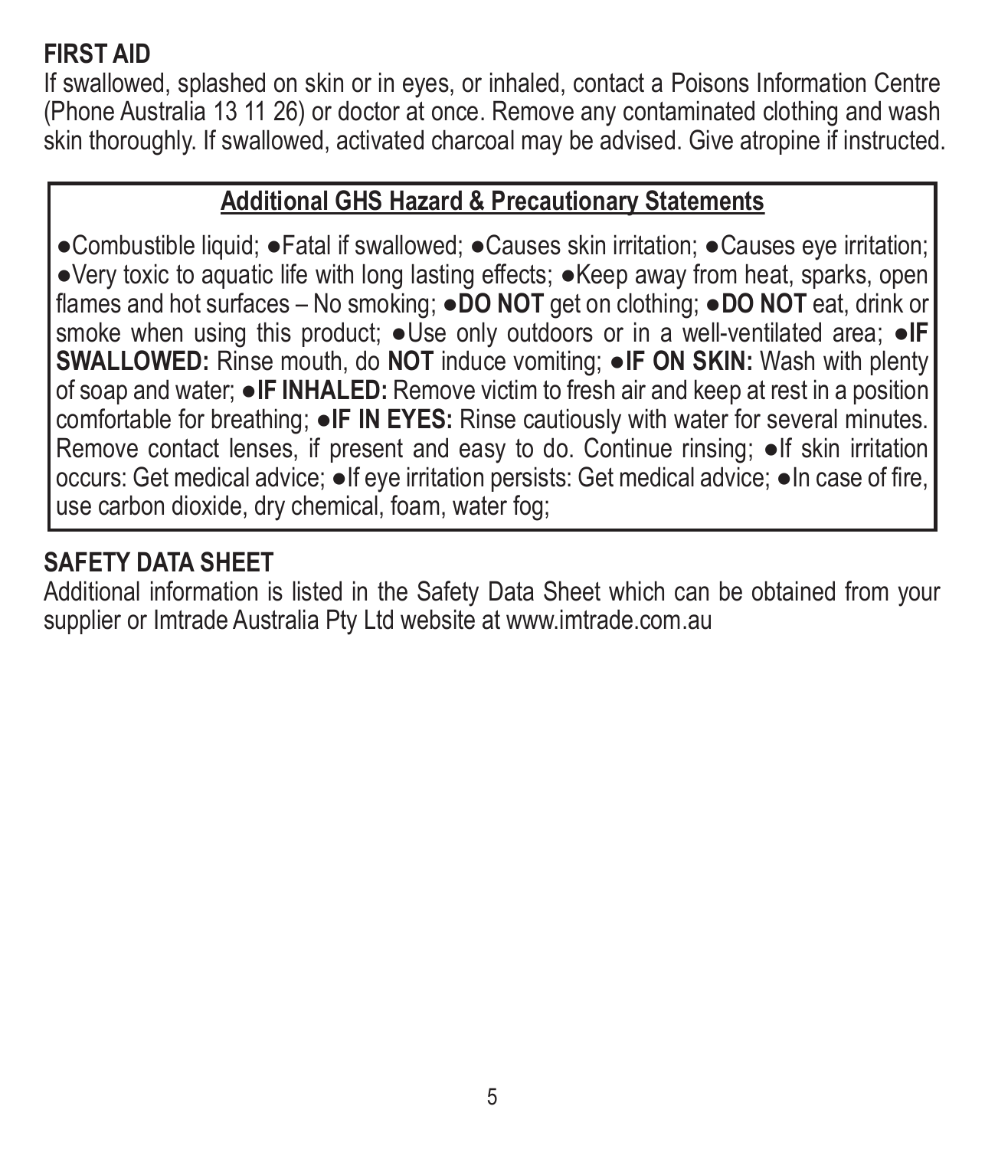#### **FIRST AID**

If swallowed, splashed on skin or in eyes, or inhaled, contact a Poisons Information Centre (Phone Australia 13 11 26) or doctor at once. Remove any contaminated clothing and wash skin thoroughly. If swallowed, activated charcoal may be advised. Give atropine if instructed.

#### **Additional GHS Hazard & Precautionary Statements**

●Combustible liquid; ●Fatal if swallowed; ●Causes skin irritation; ●Causes eye irritation; ●Very toxic to aquatic life with long lasting effects; ●Keep away from heat, sparks, open flames and hot surfaces – No smoking; ●**DO NOT** get on clothing; ●**DO NOT** eat, drink or smoke when using this product; ●Use only outdoors or in a well-ventilated area; ●**IF SWALLOWED:** Rinse mouth, do **NOT** induce vomiting; ●**IF ON SKIN:** Wash with plenty of soap and water; ●**IF INHALED:** Remove victim to fresh air and keep at rest in a position comfortable for breathing; ●**IF IN EYES:** Rinse cautiously with water for several minutes. Remove contact lenses, if present and easy to do. Continue rinsing; ●If skin irritation occurs: Get medical advice; ●If eye irritation persists: Get medical advice; ●In case of fire, use carbon dioxide, dry chemical, foam, water fog;

#### **SAFETY DATA SHEET**

Additional information is listed in the Safety Data Sheet which can be obtained from your supplier or Imtrade Australia Pty Ltd website at www.imtrade.com.au